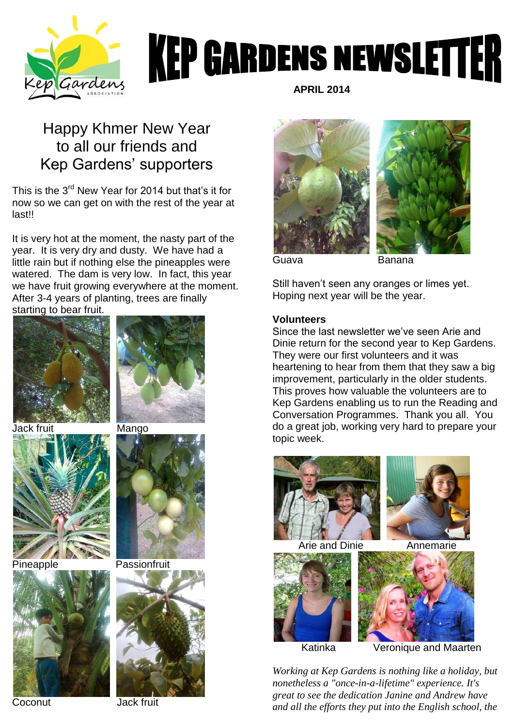

# **KEP GARDENS NEWSLETTER**

## Happy Khmer New Year to all our friends and Kep Gardens' supporters

This is the 3<sup>rd</sup> New Year for 2014 but that's it for now so we can get on with the rest of the year at last!!

It is very hot at the moment, the nasty part of the year. It is very dry and dusty. We have had a little rain but if nothing else the pineapples were watered. The dam is very low. In fact, this year we have fruit growing everywhere at the moment. After 3-4 years of planting, trees are finally starting to bear fruit.



Jack fruit Mango







Pineapple Passionfruit



 **APRIL 2014**





Still haven't seen any oranges or limes yet. Hoping next year will be the year.

#### **Volunteers**

Since the last newsletter we've seen Arie and Dinie return for the second year to Kep Gardens. They were our first volunteers and it was heartening to hear from them that they saw a big improvement, particularly in the older students. This proves how valuable the volunteers are to Kep Gardens enabling us to run the Reading and Conversation Programmes. Thank you all. You do a great job, working very hard to prepare your topic week.





Arie and Dinie Annemarie





Katinka Veronique and Maarten

*Working at Kep Gardens is nothing like a holiday, but nonetheless a "once-in-a-lifetime" experience. It's great to see the dedication Janine and Andrew have and all the efforts they put into the English school, the* 

Coconut Jack fruit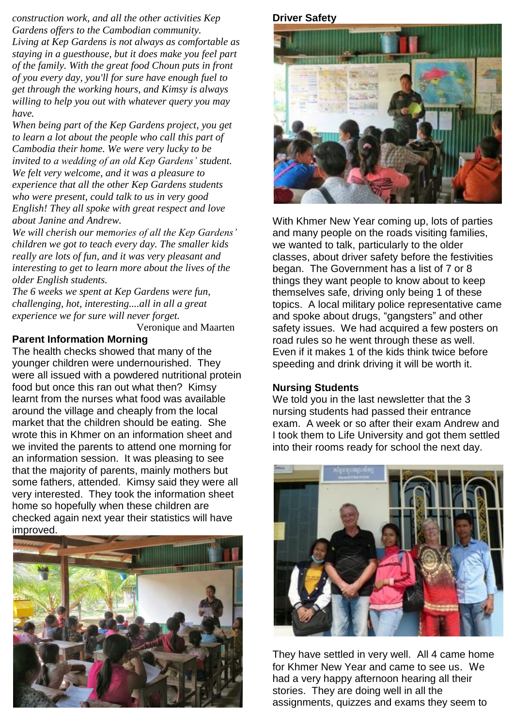*construction work, and all the other activities Kep Gardens offers to the Cambodian community. Living at Kep Gardens is not always as comfortable as staying in a guesthouse, but it does make you feel part of the family. With the great food Choun puts in front of you every day, you'll for sure have enough fuel to get through the working hours, and Kimsy is always willing to help you out with whatever query you may have.*

*When being part of the Kep Gardens project, you get to learn a lot about the people who call this part of Cambodia their home. We were very lucky to be invited to a wedding of an old Kep Gardens' student. We felt very welcome, and it was a pleasure to experience that all the other Kep Gardens students who were present, could talk to us in very good English! They all spoke with great respect and love about Janine and Andrew.*

*We will cherish our memories of all the Kep Gardens' children we got to teach every day. The smaller kids really are lots of fun, and it was very pleasant and interesting to get to learn more about the lives of the older English students.*

*The 6 weeks we spent at Kep Gardens were fun, challenging, hot, interesting....all in all a great experience we for sure will never forget.*

Veronique and Maarten

#### **Parent Information Morning**

The health checks showed that many of the younger children were undernourished. They were all issued with a powdered nutritional protein food but once this ran out what then? Kimsy learnt from the nurses what food was available around the village and cheaply from the local market that the children should be eating. She wrote this in Khmer on an information sheet and we invited the parents to attend one morning for an information session. It was pleasing to see that the majority of parents, mainly mothers but some fathers, attended. Kimsy said they were all very interested. They took the information sheet home so hopefully when these children are checked again next year their statistics will have improved.



#### **Driver Safety**



With Khmer New Year coming up, lots of parties and many people on the roads visiting families, we wanted to talk, particularly to the older classes, about driver safety before the festivities began. The Government has a list of 7 or 8 things they want people to know about to keep themselves safe, driving only being 1 of these topics. A local military police representative came and spoke about drugs, "gangsters" and other safety issues. We had acquired a few posters on road rules so he went through these as well. Even if it makes 1 of the kids think twice before speeding and drink driving it will be worth it.

#### **Nursing Students**

We told you in the last newsletter that the 3 nursing students had passed their entrance exam. A week or so after their exam Andrew and I took them to Life University and got them settled into their rooms ready for school the next day.



They have settled in very well. All 4 came home for Khmer New Year and came to see us. We had a very happy afternoon hearing all their stories. They are doing well in all the assignments, quizzes and exams they seem to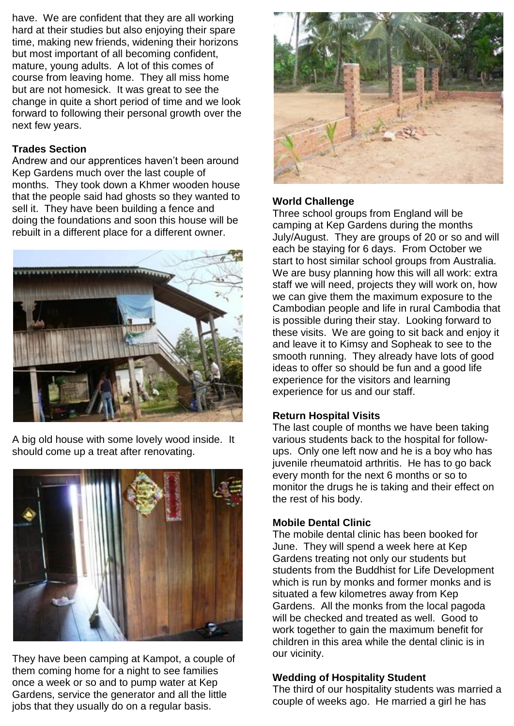have. We are confident that they are all working hard at their studies but also enjoying their spare time, making new friends, widening their horizons but most important of all becoming confident, mature, young adults. A lot of this comes of course from leaving home. They all miss home but are not homesick. It was great to see the change in quite a short period of time and we look forward to following their personal growth over the next few years.

#### **Trades Section**

Andrew and our apprentices haven't been around Kep Gardens much over the last couple of months. They took down a Khmer wooden house that the people said had ghosts so they wanted to sell it. They have been building a fence and doing the foundations and soon this house will be rebuilt in a different place for a different owner.



A big old house with some lovely wood inside. It should come up a treat after renovating.



They have been camping at Kampot, a couple of them coming home for a night to see families once a week or so and to pump water at Kep Gardens, service the generator and all the little jobs that they usually do on a regular basis.



#### **World Challenge**

Three school groups from England will be camping at Kep Gardens during the months July/August. They are groups of 20 or so and will each be staying for 6 days. From October we start to host similar school groups from Australia. We are busy planning how this will all work: extra staff we will need, projects they will work on, how we can give them the maximum exposure to the Cambodian people and life in rural Cambodia that is possible during their stay. Looking forward to these visits. We are going to sit back and enjoy it and leave it to Kimsy and Sopheak to see to the smooth running. They already have lots of good ideas to offer so should be fun and a good life experience for the visitors and learning experience for us and our staff.

#### **Return Hospital Visits**

The last couple of months we have been taking various students back to the hospital for followups. Only one left now and he is a boy who has juvenile rheumatoid arthritis. He has to go back every month for the next 6 months or so to monitor the drugs he is taking and their effect on the rest of his body.

#### **Mobile Dental Clinic**

The mobile dental clinic has been booked for June. They will spend a week here at Kep Gardens treating not only our students but students from the Buddhist for Life Development which is run by monks and former monks and is situated a few kilometres away from Kep Gardens. All the monks from the local pagoda will be checked and treated as well. Good to work together to gain the maximum benefit for children in this area while the dental clinic is in our vicinity.

#### **Wedding of Hospitality Student**

The third of our hospitality students was married a couple of weeks ago. He married a girl he has